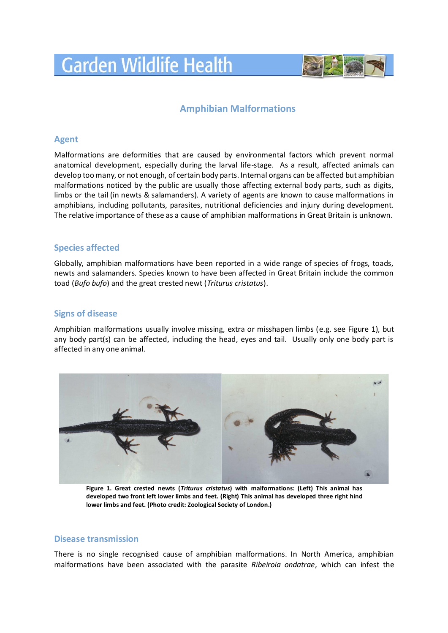# **Garden Wildlife Health**



## **Amphibian Malformations**

#### **Agent**

Malformations are deformities that are caused by environmental factors which prevent normal anatomical development, especially during the larval life-stage. As a result, affected animals can develop too many, or not enough, of certain body parts. Internal organs can be affected but amphibian malformations noticed by the public are usually those affecting external body parts, such as digits, limbs or the tail (in newts & salamanders). A variety of agents are known to cause malformations in amphibians, including pollutants, parasites, nutritional deficiencies and injury during development. The relative importance of these as a cause of amphibian malformations in Great Britain is unknown.

#### **Species affected**

Globally, amphibian malformations have been reported in a wide range of species of frogs, toads, newts and salamanders. Species known to have been affected in Great Britain include the common toad (*Bufo bufo*) and the great crested newt (*Triturus cristatus*).

#### **Signs of disease**

Amphibian malformations usually involve missing, extra or misshapen limbs (e.g. see Figure 1), but any body part(s) can be affected, including the head, eyes and tail. Usually only one body part is affected in any one animal.



**Figure 1. Great crested newts (***Triturus cristatus***) with malformations: (Left) This animal has developed two front left lower limbs and feet. (Right) This animal has developed three right hind lower limbs and feet. (Photo credit: Zoological Society of London.)**

#### **Disease transmission**

There is no single recognised cause of amphibian malformations. In North America, amphibian malformations have been associated with the parasite *Ribeiroia ondatrae*, which can infest the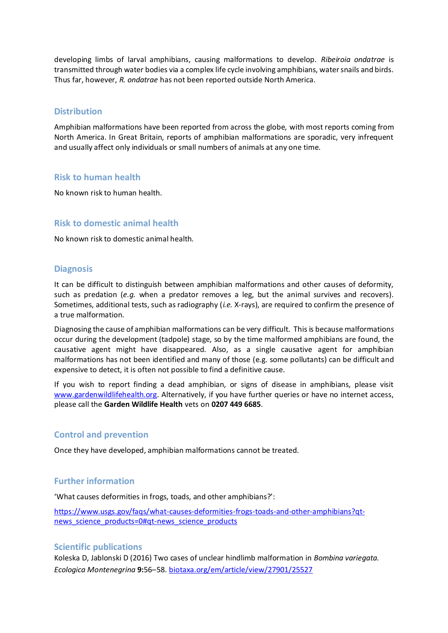developing limbs of larval amphibians, causing malformations to develop. *Ribeiroia ondatrae* is transmitted through water bodies via a complex life cycle involving amphibians, water snails and birds. Thus far, however, *R. ondatrae* has not been reported outside North America.

#### **Distribution**

Amphibian malformations have been reported from across the globe, with most reports coming from North America. In Great Britain, reports of amphibian malformations are sporadic, very infrequent and usually affect only individuals or small numbers of animals at any one time.

#### **Risk to human health**

No known risk to human health.

#### **Risk to domestic animal health**

No known risk to domestic animal health.

#### **Diagnosis**

It can be difficult to distinguish between amphibian malformations and other causes of deformity, such as predation (*e.g.* when a predator removes a leg, but the animal survives and recovers). Sometimes, additional tests, such as radiography (*i.e.* X-rays), are required to confirm the presence of a true malformation.

Diagnosing the cause of amphibian malformations can be very difficult. This is because malformations occur during the development (tadpole) stage, so by the time malformed amphibians are found, the causative agent might have disappeared. Also, as a single causative agent for amphibian malformations has not been identified and many of those (e.g. some pollutants) can be difficult and expensive to detect, it is often not possible to find a definitive cause.

If you wish to report finding a dead amphibian, or signs of disease in amphibians, please visit [www.gardenwildlifehealth.org.](http://www.gardenwildlifehealth.org/) Alternatively, if you have further queries or have no internet access, please call the **Garden Wildlife Health** vets on **0207 449 6685**.

#### **Control and prevention**

Once they have developed, amphibian malformations cannot be treated.

### **Further information**

'What causes deformities in frogs, toads, and other amphibians?':

[https://www.usgs.gov/faqs/what-causes-deformities-frogs-toads-and-other-amphibians?qt](https://www.usgs.gov/faqs/what-causes-deformities-frogs-toads-and-other-amphibians?qt-news_science_products=0#qt-news_science_products)[news\\_science\\_products=0#qt-news\\_science\\_products](https://www.usgs.gov/faqs/what-causes-deformities-frogs-toads-and-other-amphibians?qt-news_science_products=0#qt-news_science_products)

#### **Scientific publications**

Koleska D, Jablonski D (2016) Two cases of unclear hindlimb malformation in *Bombina variegata. Ecologica Montenegrina* **9:**56–58. [biotaxa.org/em/article/view/27901/25527](https://www.biotaxa.org/em/article/view/27901/25527)